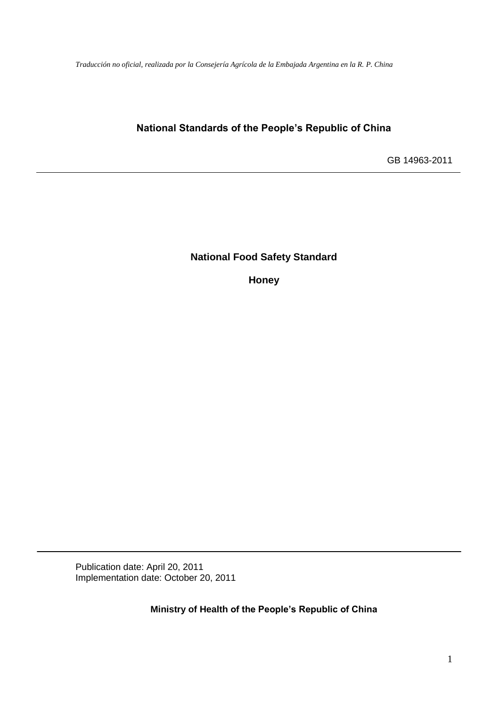*Traducción no oficial, realizada por la Consejería Agrícola de la Embajada Argentina en la R. P. China*

# **National Standards of the People's Republic of China**

GB 14963-2011

**National Food Safety Standard**

**Honey** 

Publication date: April 20, 2011 Implementation date: October 20, 2011

**Ministry of Health of the People's Republic of China**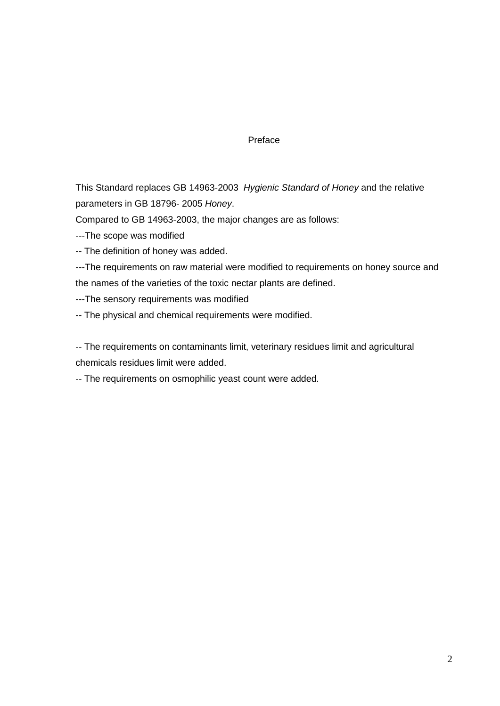#### Preface

This Standard replaces GB 14963-2003 *Hygienic Standard of Honey* and the relative parameters in GB 18796- 2005 *Honey*.

Compared to GB 14963-2003, the major changes are as follows:

---The scope was modified

-- The definition of honey was added.

---The requirements on raw material were modified to requirements on honey source and the names of the varieties of the toxic nectar plants are defined.

---The sensory requirements was modified

-- The physical and chemical requirements were modified.

-- The requirements on contaminants limit, veterinary residues limit and agricultural chemicals residues limit were added.

-- The requirements on osmophilic yeast count were added.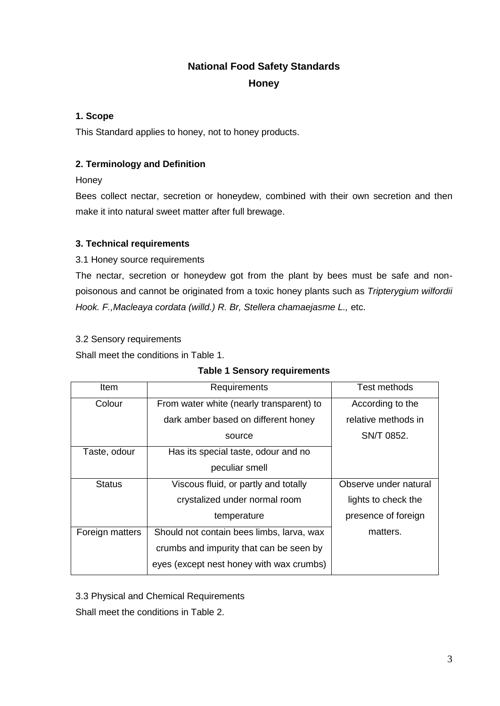# **National Food Safety Standards**

**Honey**

## **1. Scope**

This Standard applies to honey, not to honey products.

## **2. Terminology and Definition**

**Honey** 

Bees collect nectar, secretion or honeydew, combined with their own secretion and then make it into natural sweet matter after full brewage.

## **3. Technical requirements**

3.1 Honey source requirements

The nectar, secretion or honeydew got from the plant by bees must be safe and nonpoisonous and cannot be originated from a toxic honey plants such as *Tripterygium wilfordii Hook. F.,Macleaya cordata (willd.) R. Br, Stellera chamaejasme L.,* etc.

## 3.2 Sensory requirements

Shall meet the conditions in Table 1.

| ltem            | Requirements                              | Test methods          |
|-----------------|-------------------------------------------|-----------------------|
| Colour          | From water white (nearly transparent) to  | According to the      |
|                 |                                           |                       |
|                 | dark amber based on different honey       | relative methods in   |
|                 | source                                    | SN/T 0852.            |
| Taste, odour    | Has its special taste, odour and no       |                       |
|                 | peculiar smell                            |                       |
| <b>Status</b>   | Viscous fluid, or partly and totally      | Observe under natural |
|                 | crystalized under normal room             | lights to check the   |
|                 | temperature                               | presence of foreign   |
| Foreign matters | Should not contain bees limbs, larva, wax | matters.              |
|                 | crumbs and impurity that can be seen by   |                       |
|                 | eyes (except nest honey with wax crumbs)  |                       |
|                 |                                           |                       |

3.3 Physical and Chemical Requirements

Shall meet the conditions in Table 2.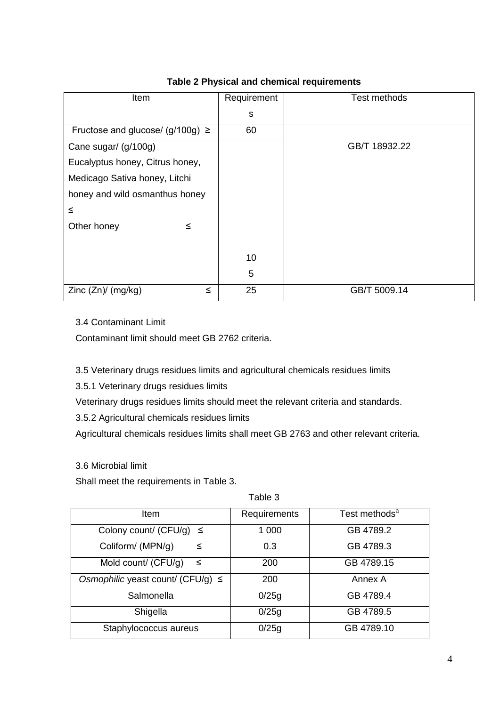| Item                                 | Requirement | Test methods  |
|--------------------------------------|-------------|---------------|
|                                      |             |               |
|                                      | s           |               |
| Fructose and glucose/ (g/100g) $\ge$ | 60          |               |
|                                      |             |               |
| Cane sugar/ (g/100g)                 |             | GB/T 18932.22 |
| Eucalyptus honey, Citrus honey,      |             |               |
| Medicago Sativa honey, Litchi        |             |               |
| honey and wild osmanthus honey       |             |               |
| ≤                                    |             |               |
| Other honey<br>≤                     |             |               |
|                                      |             |               |
|                                      | 10          |               |
|                                      | 5           |               |
|                                      |             |               |
| Zinc (Zn)/ (mg/kg)<br>≤              | 25          | GB/T 5009.14  |
|                                      |             |               |

## **Table 2 Physical and chemical requirements**

3.4 Contaminant Limit

Contaminant limit should meet GB 2762 criteria.

3.5 Veterinary drugs residues limits and agricultural chemicals residues limits

3.5.1 Veterinary drugs residues limits

Veterinary drugs residues limits should meet the relevant criteria and standards.

3.5.2 Agricultural chemicals residues limits

Agricultural chemicals residues limits shall meet GB 2763 and other relevant criteria.

## 3.6 Microbial limit

Shall meet the requirements in Table 3.

Table 3

| Item                                   | Requirements | Test methods <sup>a</sup> |
|----------------------------------------|--------------|---------------------------|
| Colony count/ (CFU/g) $\leq$           | 1 000        | GB 4789.2                 |
| Coliform/ (MPN/g)<br>$\leq$            | 0.3          | GB 4789.3                 |
| Mold count/ (CFU/g)<br>_≤              | 200          | GB 4789.15                |
| Osmophilic yeast count/ (CFU/g) $\leq$ | 200          | Annex A                   |
| Salmonella                             | 0/25g        | GB 4789.4                 |
| Shigella                               | 0/25g        | GB 4789.5                 |
| Staphylococcus aureus                  | 0/25g        | GB 4789.10                |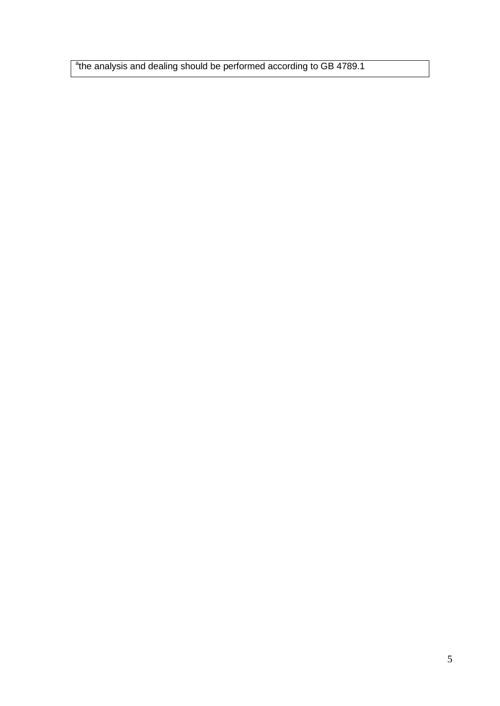<sup>a</sup>the analysis and dealing should be performed according to GB 4789.1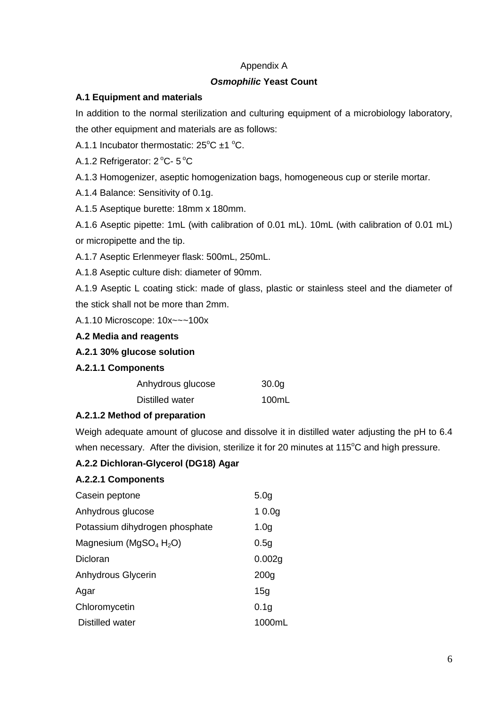#### Appendix A

#### *Osmophilic* **Yeast Count**

### **A.1 Equipment and materials**

In addition to the normal sterilization and culturing equipment of a microbiology laboratory, the other equipment and materials are as follows:

A.1.1 Incubator thermostatic:  $25^{\circ}$ C  $\pm$ 1  $^{\circ}$ C.

A.1.2 Refrigerator: 2 °C- 5 °C

A.1.3 Homogenizer, aseptic homogenization bags, homogeneous cup or sterile mortar.

A.1.4 Balance: Sensitivity of 0.1g.

A.1.5 Aseptique burette: 18mm x 180mm.

A.1.6 Aseptic pipette: 1mL (with calibration of 0.01 mL). 10mL (with calibration of 0.01 mL) or micropipette and the tip.

A.1.7 Aseptic Erlenmeyer flask: 500mL, 250mL.

A.1.8 Aseptic culture dish: diameter of 90mm.

A.1.9 Aseptic L coating stick: made of glass, plastic or stainless steel and the diameter of the stick shall not be more than 2mm.

A.1.10 Microscope: 10x~~~100x

**A.2 Media and reagents**

**A.2.1 30% glucose solution**

#### **A.2.1.1 Components**

| Anhydrous glucose | 30.0 <sub>g</sub> |
|-------------------|-------------------|
| Distilled water   | 100mL             |

## **A.2.1.2 Method of preparation**

Weigh adequate amount of glucose and dissolve it in distilled water adjusting the pH to 6.4 when necessary. After the division, sterilize it for 20 minutes at  $115^{\circ}$ C and high pressure.

## **A.2.2 Dichloran-Glycerol (DG18) Agar**

#### **A.2.2.1 Components**

| Casein peptone                                 | 5.0 <sub>g</sub>  |
|------------------------------------------------|-------------------|
| Anhydrous glucose                              | 10.0 <sub>g</sub> |
| Potassium dihydrogen phosphate                 | 1.0 <sub>g</sub>  |
| Magnesium (MgSO <sub>4</sub> H <sub>2</sub> O) | 0.5g              |
| Dicloran                                       | 0.002g            |
| Anhydrous Glycerin                             | 200 <sub>g</sub>  |
| Agar                                           | 15 <sub>q</sub>   |
| Chloromycetin                                  | 0.1 <sub>g</sub>  |
| Distilled water                                | 1000ml            |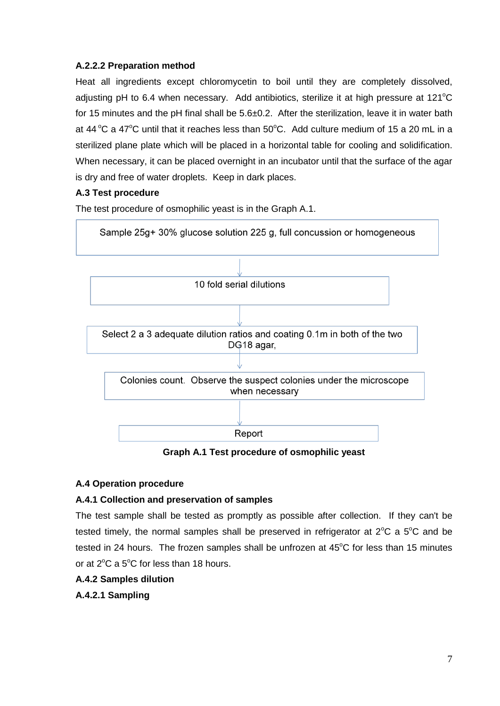## **A.2.2.2 Preparation method**

Heat all ingredients except chloromycetin to boil until they are completely dissolved, adjusting pH to 6.4 when necessary. Add antibiotics, sterilize it at high pressure at  $121^{\circ}$ C for 15 minutes and the pH final shall be  $5.6\pm0.2$ . After the sterilization, leave it in water bath at 44  $\rm{°C}$  a 47 $\rm{°C}$  until that it reaches less than 50 $\rm{°C}$ . Add culture medium of 15 a 20 mL in a sterilized plane plate which will be placed in a horizontal table for cooling and solidification. When necessary, it can be placed overnight in an incubator until that the surface of the agar is dry and free of water droplets. Keep in dark places.

## **A.3 Test procedure**

The test procedure of osmophilic yeast is in the Graph A.1.



**Graph A.1 Test procedure of osmophilic yeast**

## **A.4 Operation procedure**

## **A.4.1 Collection and preservation of samples**

The test sample shall be tested as promptly as possible after collection. If they can't be tested timely, the normal samples shall be preserved in refrigerator at  $2^{\circ}C$  a  $5^{\circ}C$  and be tested in 24 hours. The frozen samples shall be unfrozen at  $45^{\circ}$ C for less than 15 minutes or at  $2^{\circ}$ C a 5 $^{\circ}$ C for less than 18 hours.

## **A.4.2 Samples dilution**

**A.4.2.1 Sampling**